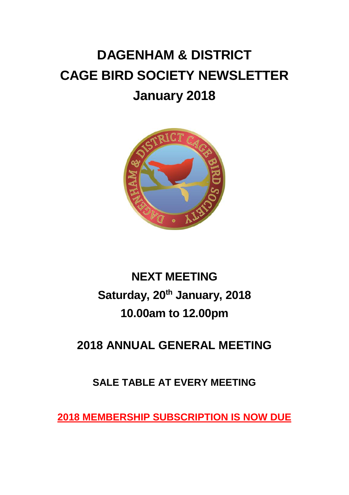# **DAGENHAM & DISTRICT CAGE BIRD SOCIETY NEWSLETTER January 2018**



## **NEXT MEETING Saturday, 20th January, 2018 10.00am to 12.00pm**

### **2018 ANNUAL GENERAL MEETING**

#### **SALE TABLE AT EVERY MEETING**

**2018 MEMBERSHIP SUBSCRIPTION IS NOW DUE**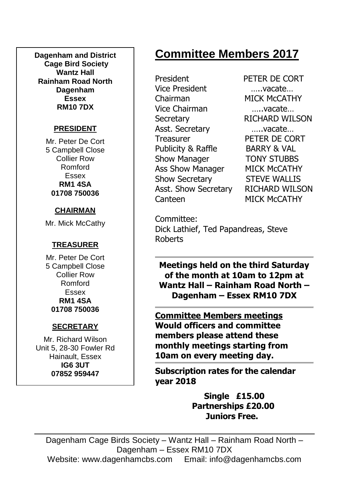**Dagenham and District Cage Bird Society Wantz Hall Rainham Road North Dagenham Essex RM10 7DX**

#### **PRESIDENT**

Mr. Peter De Cort 5 Campbell Close Collier Row Romford Essex **RM1 4SA 01708 750036**

#### **CHAIRMAN**

Mr. Mick McCathy

#### **TREASURER**

Mr. Peter De Cort 5 Campbell Close Collier Row Romford Essex **RM1 4SA 01708 750036**

#### **SECRETARY**

Mr. Richard Wilson Unit 5, 28-30 Fowler Rd Hainault, Essex **IG6 3UT 07852 959447**

### **Committee Members 2017**

President PETER DE CORT Vice President …..vacate… Chairman MICK McCATHY Vice Chairman …..vacate… Secretary RICHARD WILSON Asst. Secretary …..vacate… Treasurer PETER DE CORT Publicity & Raffle BARRY & VAL Show Manager **TONY STUBBS** Ass Show Manager MICK McCATHY Show Secretary STEVE WALLIS Asst. Show Secretary RICHARD WILSON Canteen MICK McCATHY

Committee: Dick Lathief, Ted Papandreas, Steve Roberts

**Meetings held on the third Saturday of the month at 10am to 12pm at Wantz Hall – Rainham Road North – Dagenham – Essex RM10 7DX**

**Committee Members meetings Would officers and committee members please attend these monthly meetings starting from 10am on every meeting day.**

**Subscription rates for the calendar year 2018**

> **Single £15.00 Partnerships £20.00 Juniors Free.**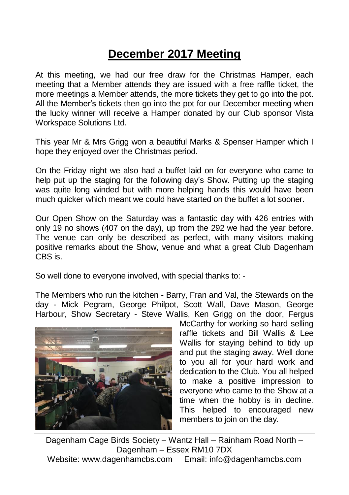### **December 2017 Meeting**

At this meeting, we had our free draw for the Christmas Hamper, each meeting that a Member attends they are issued with a free raffle ticket, the more meetings a Member attends, the more tickets they get to go into the pot. All the Member's tickets then go into the pot for our December meeting when the lucky winner will receive a Hamper donated by our Club sponsor Vista Workspace Solutions Ltd.

This year Mr & Mrs Grigg won a beautiful Marks & Spenser Hamper which I hope they enjoyed over the Christmas period.

On the Friday night we also had a buffet laid on for everyone who came to help put up the staging for the following day's Show. Putting up the staging was quite long winded but with more helping hands this would have been much quicker which meant we could have started on the buffet a lot sooner.

Our Open Show on the Saturday was a fantastic day with 426 entries with only 19 no shows (407 on the day), up from the 292 we had the year before. The venue can only be described as perfect, with many visitors making positive remarks about the Show, venue and what a great Club Dagenham CBS is.

So well done to everyone involved, with special thanks to: -

The Members who run the kitchen - Barry, Fran and Val, the Stewards on the day - Mick Pegram, George Philpot, Scott Wall, Dave Mason, George Harbour, Show Secretary - Steve Wallis, Ken Grigg on the door, Fergus



McCarthy for working so hard selling raffle tickets and Bill Wallis & Lee Wallis for staying behind to tidy up and put the staging away. Well done to you all for your hard work and dedication to the Club. You all helped to make a positive impression to everyone who came to the Show at a time when the hobby is in decline. This helped to encouraged new members to join on the day.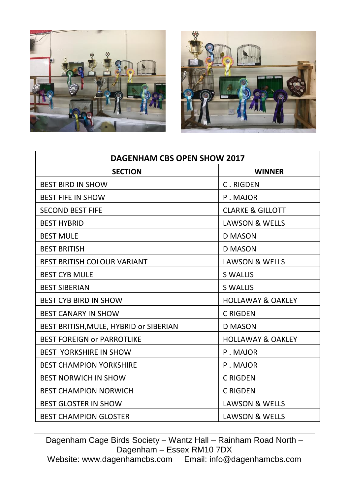



| <b>DAGENHAM CBS OPEN SHOW 2017</b>     |                              |
|----------------------------------------|------------------------------|
| <b>SECTION</b>                         | <b>WINNER</b>                |
| <b>BEST BIRD IN SHOW</b>               | C. RIGDEN                    |
| <b>BEST FIFE IN SHOW</b>               | P. MAJOR                     |
| <b>SECOND BEST FIFE</b>                | <b>CLARKE &amp; GILLOTT</b>  |
| <b>BEST HYBRID</b>                     | LAWSON & WELLS               |
| <b>BEST MULE</b>                       | <b>D MASON</b>               |
| <b>BEST BRITISH</b>                    | <b>D MASON</b>               |
| <b>BEST BRITISH COLOUR VARIANT</b>     | LAWSON & WELLS               |
| <b>BEST CYB MULE</b>                   | <b>S WALLIS</b>              |
| <b>BEST SIBERIAN</b>                   | <b>S WALLIS</b>              |
| <b>BEST CYB BIRD IN SHOW</b>           | <b>HOLLAWAY &amp; OAKLEY</b> |
| <b>BEST CANARY IN SHOW</b>             | C RIGDEN                     |
| BEST BRITISH, MULE, HYBRID or SIBERIAN | <b>D MASON</b>               |
| <b>BEST FOREIGN OF PARROTLIKE</b>      | <b>HOLLAWAY &amp; OAKLEY</b> |
| <b>BEST YORKSHIRE IN SHOW</b>          | P. MAJOR                     |
| <b>BEST CHAMPION YORKSHIRE</b>         | P. MAJOR                     |
| <b>BEST NORWICH IN SHOW</b>            | C RIGDEN                     |
| <b>BEST CHAMPION NORWICH</b>           | C RIGDEN                     |
| <b>BEST GLOSTER IN SHOW</b>            | LAWSON & WELLS               |
| <b>BEST CHAMPION GLOSTER</b>           | <b>LAWSON &amp; WELLS</b>    |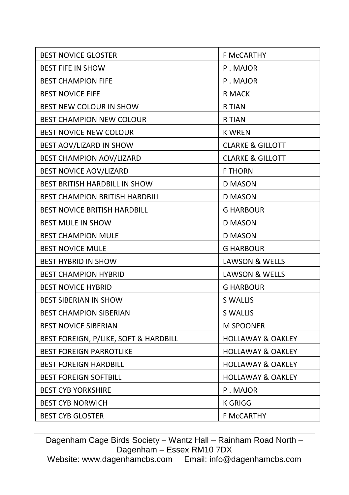| F McCARTHY                   |
|------------------------------|
| P. MAJOR                     |
| P. MAJOR                     |
| R MACK                       |
| R TIAN                       |
| R TIAN                       |
| K WREN                       |
| <b>CLARKE &amp; GILLOTT</b>  |
| <b>CLARKE &amp; GILLOTT</b>  |
| <b>F THORN</b>               |
| D MASON                      |
| <b>D MASON</b>               |
| <b>G HARBOUR</b>             |
| D MASON                      |
| D MASON                      |
| G HARBOUR                    |
| LAWSON & WELLS               |
| LAWSON & WELLS               |
| <b>G HARBOUR</b>             |
| S WALLIS                     |
| S WALLIS                     |
| <b>M SPOONER</b>             |
| <b>HOLLAWAY &amp; OAKLEY</b> |
| <b>HOLLAWAY &amp; OAKLEY</b> |
| <b>HOLLAWAY &amp; OAKLEY</b> |
| <b>HOLLAWAY &amp; OAKLEY</b> |
| P. MAJOR                     |
| <b>K GRIGG</b>               |
| <b>F MCCARTHY</b>            |
|                              |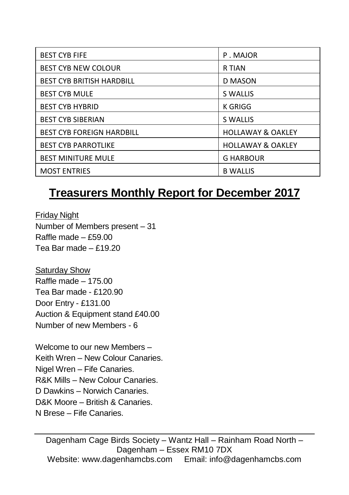| <b>BEST CYB FIFE</b>             | P. MAJOR                     |
|----------------------------------|------------------------------|
| <b>BEST CYB NEW COLOUR</b>       | R TIAN                       |
| <b>BEST CYB BRITISH HARDBILL</b> | D MASON                      |
| <b>BEST CYB MULE</b>             | S WALLIS                     |
| <b>BEST CYB HYBRID</b>           | K GRIGG                      |
| <b>BEST CYB SIBERIAN</b>         | <b>S WALLIS</b>              |
| <b>BEST CYB FOREIGN HARDBILL</b> | <b>HOLLAWAY &amp; OAKLEY</b> |
| <b>BEST CYB PARROTLIKE</b>       | <b>HOLLAWAY &amp; OAKLEY</b> |
| <b>BEST MINITURE MULE</b>        | <b>G HARBOUR</b>             |
| <b>MOST ENTRIES</b>              | <b>B WALLIS</b>              |

### **Treasurers Monthly Report for December 2017**

Friday Night Number of Members present – 31 Raffle made – £59.00 Tea Bar made – £19.20

Saturday Show Raffle made – 175.00 Tea Bar made - £120.90 Door Entry - £131.00 Auction & Equipment stand £40.00 Number of new Members - 6

Welcome to our new Members – Keith Wren – New Colour Canaries. Nigel Wren – Fife Canaries. R&K Mills – New Colour Canaries. D Dawkins – Norwich Canaries. D&K Moore – British & Canaries. N Brese – Fife Canaries.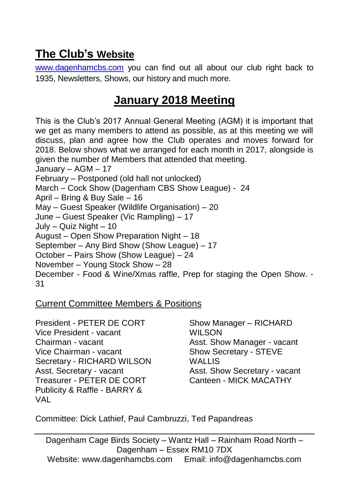### **The Club's Website**

[www.dagenhamcbs.com](http://www.dagenhamcbs.com/) you can find out all about our club right back to 1935, Newsletters, Shows, our history and much more.

### **January 2018 Meeting**

This is the Club's 2017 Annual General Meeting (AGM) it is important that we get as many members to attend as possible, as at this meeting we will discuss, plan and agree how the Club operates and moves forward for 2018. Below shows what we arranged for each month in 2017, alongside is given the number of Members that attended that meeting. January – AGM – 17 February – Postponed (old hall not unlocked) March – Cock Show (Dagenham CBS Show League) - 24 April – Bring & Buy Sale – 16 May – Guest Speaker (Wildlife Organisation) – 20 June – Guest Speaker (Vic Rampling) – 17 July – Quiz Night – 10 August – Open Show Preparation Night – 18 September – Any Bird Show (Show League) – 17 October – Pairs Show (Show League) – 24 November – Young Stock Show – 28 December - Food & Wine/Xmas raffle, Prep for staging the Open Show. - 31

#### Current Committee Members & Positions

President - PETER DE CORT Vice President - vacant Chairman - vacant Vice Chairman - vacant Secretary - RICHARD WILSON Asst. Secretary - vacant Treasurer - PETER DE CORT Publicity & Raffle - BARRY & VAL

Show Manager – RICHARD WILSON Asst. Show Manager - vacant Show Secretary - STEVE WALL IS Asst. Show Secretary - vacant Canteen - MICK MACATHY

Committee: Dick Lathief, Paul Cambruzzi, Ted Papandreas